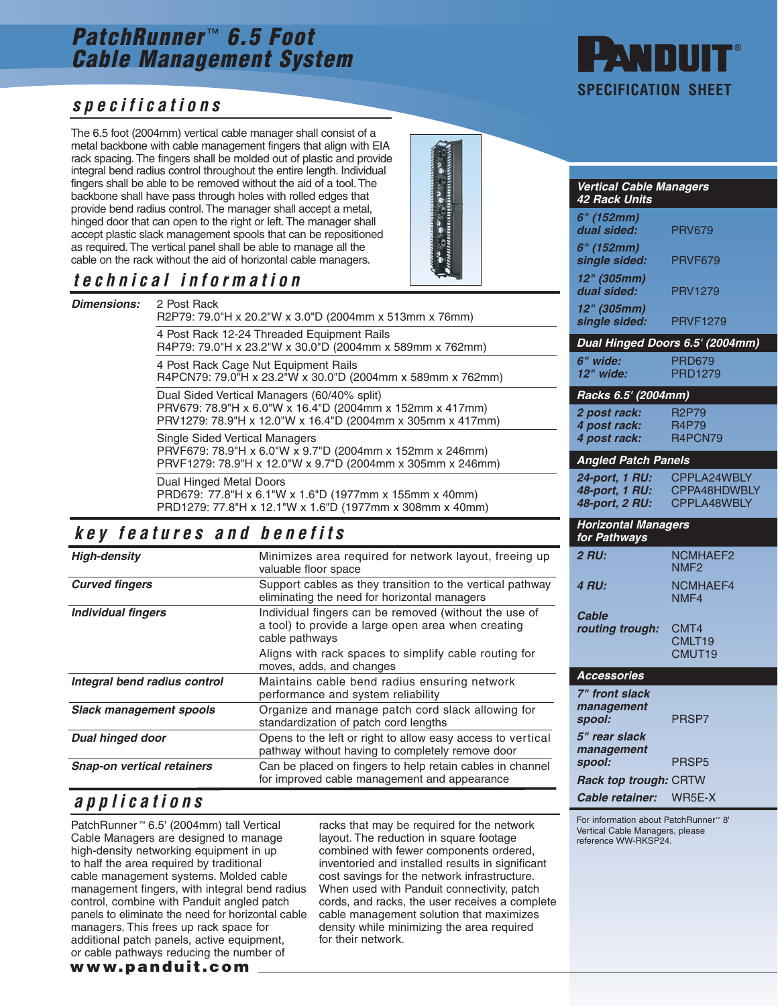# **PatchRunner**™ **6.5 Foot Cable Management System**

### **specifications**

The 6.5 foot (2004mm) vertical cable manager shall consist of a metal backbone with cable management fingers that align with EIA rack spacing. The fingers shall be molded out of plastic and provide integral bend radius control throughout the entire length. Individual fingers shall be able to be removed without the aid of a tool. The backbone shall have pass through holes with rolled edges that provide bend radius control. The manager shall accept a metal, hinged door that can open to the right or left. The manager shall accept plastic slack management spools that can be repositioned as required. The vertical panel shall be able to manage all the cable on the rack without the aid of horizontal cable managers.

## **technical information**

| <b>Dimensions:</b> | 2 Post Rack<br>R2P79: 79.0"H x 20.2"W x 3.0"D (2004mm x 513mm x 76mm)                                                                                                 |  |  |  |  |  |  |
|--------------------|-----------------------------------------------------------------------------------------------------------------------------------------------------------------------|--|--|--|--|--|--|
|                    | 4 Post Rack 12-24 Threaded Equipment Rails<br>R4P79: 79.0"H x 23.2"W x 30.0"D (2004mm x 589mm x 762mm)                                                                |  |  |  |  |  |  |
|                    | 4 Post Rack Cage Nut Equipment Rails<br>R4PCN79: 79.0"H x 23.2"W x 30.0"D (2004mm x 589mm x 762mm)                                                                    |  |  |  |  |  |  |
|                    | Dual Sided Vertical Managers (60/40% split)<br>PRV679: 78.9"H x 6.0"W x 16.4"D (2004mm x 152mm x 417mm)<br>PRV1279: 78.9"H x 12.0"W x 16.4"D (2004mm x 305mm x 417mm) |  |  |  |  |  |  |
|                    | <b>Single Sided Vertical Managers</b><br>PRVF679: 78.9"H x 6.0"W x 9.7"D (2004mm x 152mm x 246mm)<br>PRVF1279: 78.9"H x 12.0"W x 9.7"D (2004mm x 305mm x 246mm)       |  |  |  |  |  |  |
|                    | Dual Hinged Metal Doors<br>PRD679: 77.8"H x 6.1"W x 1.6"D (1977mm x 155mm x 40mm)<br>PRD1279: 77.8"H x 12.1"W x 1.6"D (1977mm x 308mm x 40mm)                         |  |  |  |  |  |  |

#### **key features and benefits**

| <b>High-density</b>               | Minimizes area required for network layout, freeing up<br>valuable floor space                                                |  |  |  |  |  |  |  |
|-----------------------------------|-------------------------------------------------------------------------------------------------------------------------------|--|--|--|--|--|--|--|
| <b>Curved fingers</b>             | Support cables as they transition to the vertical pathway<br>eliminating the need for horizontal managers                     |  |  |  |  |  |  |  |
| <b>Individual fingers</b>         | Individual fingers can be removed (without the use of<br>a tool) to provide a large open area when creating<br>cable pathways |  |  |  |  |  |  |  |
|                                   | Aligns with rack spaces to simplify cable routing for<br>moves, adds, and changes                                             |  |  |  |  |  |  |  |
| Integral bend radius control      | Maintains cable bend radius ensuring network<br>performance and system reliability                                            |  |  |  |  |  |  |  |
| <b>Slack management spools</b>    | Organize and manage patch cord slack allowing for<br>standardization of patch cord lengths                                    |  |  |  |  |  |  |  |
| <b>Dual hinged door</b>           | Opens to the left or right to allow easy access to vertical<br>pathway without having to completely remove door               |  |  |  |  |  |  |  |
| <b>Snap-on vertical retainers</b> | Can be placed on fingers to help retain cables in channel<br>for improved cable management and appearance                     |  |  |  |  |  |  |  |

#### **applications**

**www.panduit.com** PatchRunner ™ 6.5' (2004mm) tall Vertical Cable Managers are designed to manage high-density networking equipment in up to half the area required by traditional cable management systems. Molded cable management fingers, with integral bend radius control, combine with Panduit angled patch panels to eliminate the need for horizontal cable managers. This frees up rack space for additional patch panels, active equipment, or cable pathways reducing the number of

racks that may be required for the network layout. The reduction in square footage combined with fewer components ordered, inventoried and installed results in significant cost savings for the network infrastructure. When used with Panduit connectivity, patch cords, and racks, the user receives a complete cable management solution that maximizes density while minimizing the area required for their network.



| <b>Vertical Cable Managers</b><br>42 Rack Units    |                                            |
|----------------------------------------------------|--------------------------------------------|
| 6" (152mm)<br>dual sided:                          | <b>PRV679</b>                              |
| 6" (152mm)<br>single sided:                        | <b>PRVF679</b>                             |
| 12" (305mm)<br>dual sided:                         | <b>PRV1279</b>                             |
| 12" (305mm)<br>single sided:                       | <b>PRVF1279</b>                            |
| Dual Hinged Doors 6.5' (2004mm)                    |                                            |
| 6" wide:<br>12" wide:                              | <b>PRD679</b><br><b>PRD1279</b>            |
| Racks 6.5' (2004mm)                                |                                            |
| 2 post rack:<br>4 post rack:<br>4 post rack:       | <b>R2P79</b><br>R4P79<br>R4PCN79           |
| <b>Angled Patch Panels</b>                         |                                            |
| 24-port, 1 RU:<br>48-port, 1 RU:<br>48-port, 2 RU: | CPPLA24WBLY<br>CPPA48HDWBLY<br>CPPLA48WBLY |
| <b>Horizontal Managers</b><br>for Pathways         |                                            |
| <b>2 RU:</b>                                       | <b>NCMHAEF2</b><br>NMF <sub>2</sub>        |
| <b>4 RU:</b>                                       | NCMHAEF4<br>NMF4                           |
| Cable<br>routing trough:                           | CMT4<br>CMLT <sub>19</sub><br>CMUT19       |
| <b>Accessories</b>                                 |                                            |
| 7" front slack<br>management<br>spool:             | PRSP7                                      |
| 5" rear slack<br>management<br>spool:              | PRSP5                                      |
| Rack top trough: CRTW                              |                                            |
| Cable retainer:                                    | WR5E-X                                     |

For information about PatchRunner™ 8' Vertical Cable Managers, please reference WW-RKSP24.